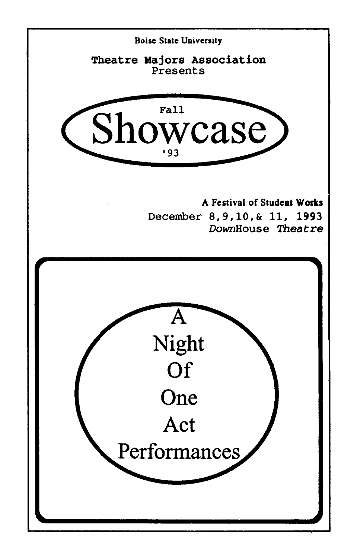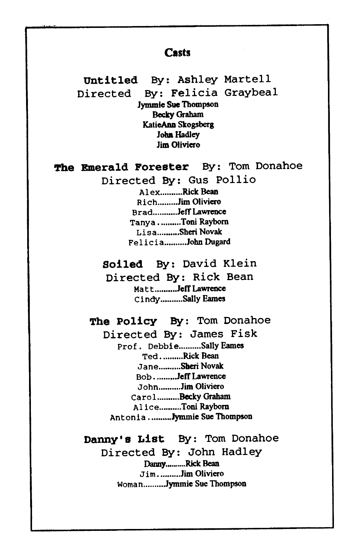#### **Casts**

**Untitled** By: Ashley Martell Directed By: Felicia Graybeal Jymmie Sue Thompson Becky Graham KatieAnn Skogsberg **John Hadley** Jim Oliviero

**The Emerald Forester** By: Tom Donahoe

Directed By: Gus Pollio

Alex..........Rick Bean Rich ........• Jim Oliviero Brad...........Jeff Lawrence Tanya .......... Toni Rayborn Lisa .......... Sheri Novak Felicia .......... John Dugard

**Soiled** By: David Klein

Directed By: Rick Bean Matt .......... Jeff Lawrence Cindy ..•...•... Sally Eames

**The Policy** By: Tom Donahoe

Directed By: James Fisk Prof. Debbie .......... Sally Eames Ted .......... Rick Bean Jane..........Sheri Novak Bob .......... Jeff Lawrence John ......... .Jim Oliviero Carol. ......... Becky Graham Alice .......... Toni Rayborn Antonia .......... Jymmie Sue Thompson

**Danny's List** By: Tom Donahoe

Directed By: John Hadley Danny..........Rick Bean Jim, .........Jim Oliviero Woman..........Jymmie Sue Thompson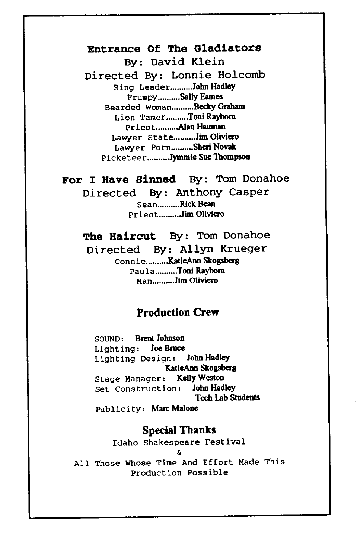## Entrance Of The Gladiators

By: David Klein

Directed By: Lonnie Holcomb Ring Leader .......... John Hadley Frumpy .......... Sally Eames Bearded Woman..........Becky Graham Lion Tamer .......... Toni Rayborn Priest .......... Alan Hauman Lawyer State..........Jim Oliviero Lawyer Porn .......... Sheri Novak Picketeer ......... .Jymmie Sue Thompson

#### For I Have Sinned By: Tom Donahoe

Directed By: Anthony Casper Sean .......... Rick Bean Priest .......... Jim Oliviero

The Haircut By: Tom Donahoe Directed By: Allyn Krueger Connie .......... KatieAnn Skogsberg Paula .......... Toni Rayborn Man .......... Jim Oliviero

#### Production Crew

SOUND: Brent Johnson Lighting: Joe Bruce Lighting Design: John Hadley KatieAnn Skogsberg Stage Manager: Kelly Weston Set construction: John Hadley Tech Lab Students Publicity: Marc Malone

### Special Thanks

Idaho Shakespeare Festival &

All Those Whose Time And Effort Made This Production Possible